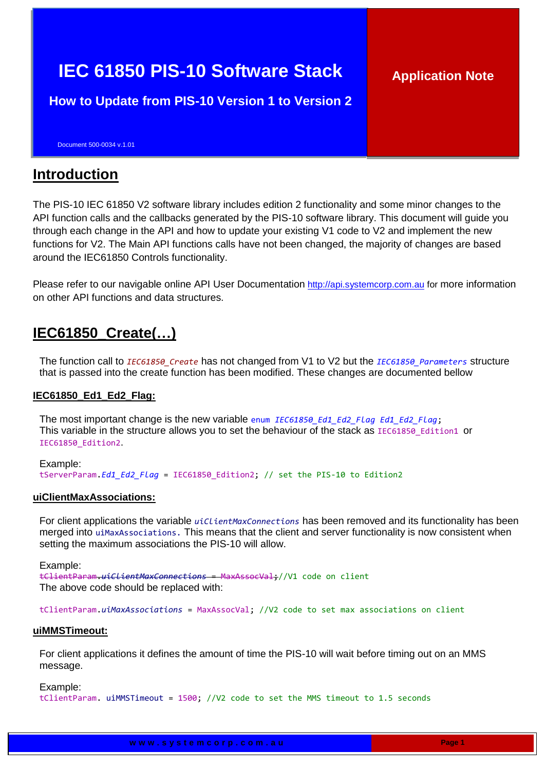# **IEC 61850 PIS-10 Software Stack**

**How to Update from PIS-10 Version 1 to Version 2**

Document 500-0034 v.1.01

### **Introduction**

The PIS-10 IEC 61850 V2 software library includes edition 2 functionality and some minor changes to the API function calls and the callbacks generated by the PIS-10 software library. This document will guide you through each change in the API and how to update your existing V1 code to V2 and implement the new functions for V2. The Main API functions calls have not been changed, the majority of changes are based around the IEC61850 Controls functionality.

Please refer to our navigable online API User Documentation [http://api.systemcorp.com.au](http://api.systemcorp.com.au/) for more information on other API functions and data structures.

### **IEC61850\_Create(…)**

The function call to *IEC61850\_Create* has not changed from V1 to V2 but the *IEC61850\_Parameters* structure that is passed into the create function has been modified. These changes are documented bellow

### **IEC61850\_Ed1\_Ed2\_Flag:**

The most important change is the new variable enum *IEC61850\_Ed1\_Ed2\_Flag Ed1\_Ed2\_Flag*; This variable in the structure allows you to set the behaviour of the stack as IEC61850 Edition1 or IEC61850\_Edition2.

Example: tServerParam.*Ed1\_Ed2\_Flag* = IEC61850\_Edition2; // set the PIS-10 to Edition2

### **uiClientMaxAssociations:**

For client applications the variable *uiClientMaxConnections* has been removed and its functionality has been merged into uiMaxAssociations. This means that the client and server functionality is now consistent when setting the maximum associations the PIS-10 will allow.

Example:

tClientParam.*uiClientMaxConnections* = MaxAssocVal;//V1 code on client The above code should be replaced with:

tClientParam.*uiMaxAssociations* = MaxAssocVal; //V2 code to set max associations on client

### **uiMMSTimeout:**

For client applications it defines the amount of time the PIS-10 will wait before timing out on an MMS message.

Example:

tClientParam. uiMMSTimeout = 1500; //V2 code to set the MMS timeout to 1.5 seconds

**Application Note**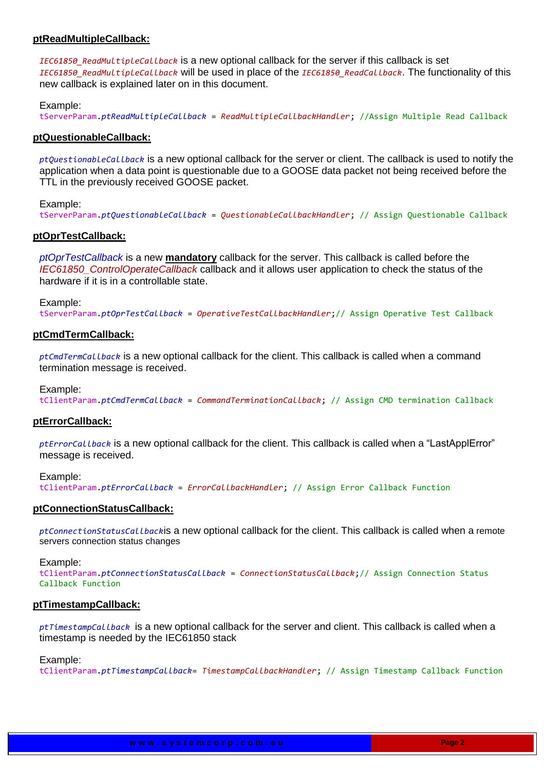### **ptReadMultipleCallback:**

*IEC61850\_ReadMultipleCallback* is a new optional callback for the server if this callback is set *IEC61850\_ReadMultipleCallback* will be used in place of the *IEC61850\_ReadCallback*. The functionality of this new callback is explained later on in this document.

#### Example:

tServerParam.*ptReadMultipleCallback* = *ReadMultipleCallbackHandler*; //Assign Multiple Read Callback

#### **ptQuestionableCallback:**

*ptQuestionableCallback* is a new optional callback for the server or client. The callback is used to notify the application when a data point is questionable due to a GOOSE data packet not being received before the TTL in the previously received GOOSE packet.

#### Example:

tServerParam.*ptQuestionableCallback* = *QuestionableCallbackHandler*; // Assign Questionable Callback

### **ptOprTestCallback:**

*ptOprTestCallback* is a new **mandatory** callback for the server. This callback is called before the *IEC61850\_ControlOperateCallback* callback and it allows user application to check the status of the hardware if it is in a controllable state.

#### Example:

tServerParam.*ptOprTestCallback* = *OperativeTestCallbackHandler*;// Assign Operative Test Callback

#### **ptCmdTermCallback:**

*ptCmdTermCallback* is a new optional callback for the client. This callback is called when a command termination message is received.

#### Example:

tClientParam.*ptCmdTermCallback* = *CommandTerminationCallback*; // Assign CMD termination Callback

#### **ptErrorCallback:**

*ptErrorCallback* is a new optional callback for the client. This callback is called when a "LastApplError" message is received.

#### Example:

tClientParam.*ptErrorCallback* = *ErrorCallbackHandler*; // Assign Error Callback Function

#### **ptConnectionStatusCallback:**

*ptConnectionStatusCallback*is a new optional callback for the client. This callback is called when a remote servers connection status changes

#### Example:

tClientParam.*ptConnectionStatusCallback* = *ConnectionStatusCallback*;// Assign Connection Status Callback Function

#### **ptTimestampCallback:**

*ptTimestampCallback* is a new optional callback for the server and client. This callback is called when a timestamp is needed by the IEC61850 stack

#### Example:

tClientParam.*ptTimestampCallback*= *TimestampCallbackHandler*; // Assign Timestamp Callback Function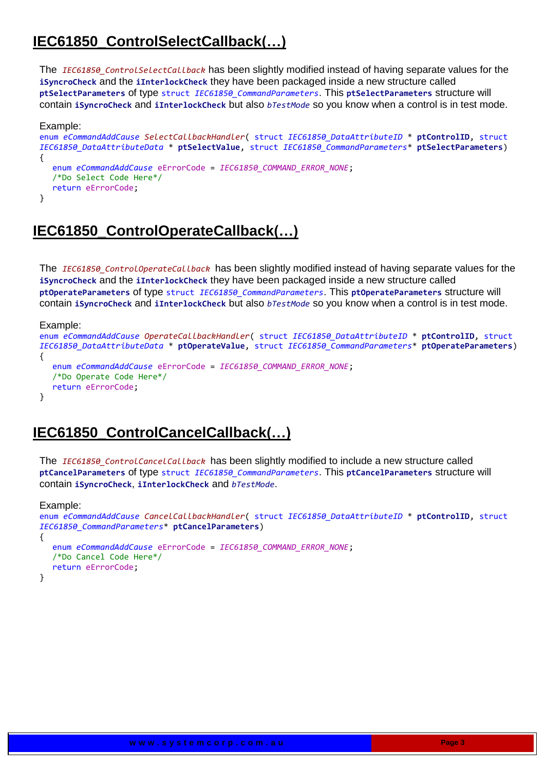# **IEC61850\_ControlSelectCallback(…)**

The *IEC61850\_ControlSelectCallback* has been slightly modified instead of having separate values for the **iSyncroCheck** and the **iInterlockCheck** they have been packaged inside a new structure called **ptSelectParameters** of type struct *IEC61850\_CommandParameters*. This **ptSelectParameters** structure will contain **iSyncroCheck** and **iInterlockCheck** but also *bTestMode* so you know when a control is in test mode.

#### Example: enum *eCommandAddCause SelectCallbackHandler*( struct *IEC61850\_DataAttributeID* \* **ptControlID**, struct *IEC61850\_DataAttributeData* \* **ptSelectValue**, struct *IEC61850\_CommandParameters*\* **ptSelectParameters**) { enum *eCommandAddCause* eErrorCode = *IEC61850\_COMMAND\_ERROR\_NONE*; /\*Do Select Code Here\*/ return eErrorCode; }

# **IEC61850\_ControlOperateCallback(…)**

The *IEC61850\_ControlOperateCallback* has been slightly modified instead of having separate values for the **iSyncroCheck** and the **iInterlockCheck** they have been packaged inside a new structure called **ptOperateParameters** of type struct *IEC61850\_CommandParameters*. This **ptOperateParameters** structure will contain **iSyncroCheck** and **iInterlockCheck** but also *bTestMode* so you know when a control is in test mode.

#### Example:

```
enum eCommandAddCause OperateCallbackHandler( struct IEC61850_DataAttributeID * ptControlID, struct
IEC61850_DataAttributeData * ptOperateValue, struct IEC61850_CommandParameters* ptOperateParameters)
{
  enum eCommandAddCause eErrorCode = IEC61850_COMMAND_ERROR_NONE;
  /*Do Operate Code Here*/
  return eErrorCode;
}
```
### **IEC61850\_ControlCancelCallback(…)**

The *IEC61850\_ControlCancelCallback* has been slightly modified to include a new structure called **ptCancelParameters** of type struct *IEC61850\_CommandParameters*. This **ptCancelParameters** structure will contain **iSyncroCheck**, **iInterlockCheck** and *bTestMode*.

#### Example:

```
enum eCommandAddCause CancelCallbackHandler( struct IEC61850_DataAttributeID * ptControlID, struct
IEC61850_CommandParameters* ptCancelParameters)
{
  enum eCommandAddCause eErrorCode = IEC61850_COMMAND_ERROR_NONE;
  /*Do Cancel Code Here*/
  return eErrorCode;
}
```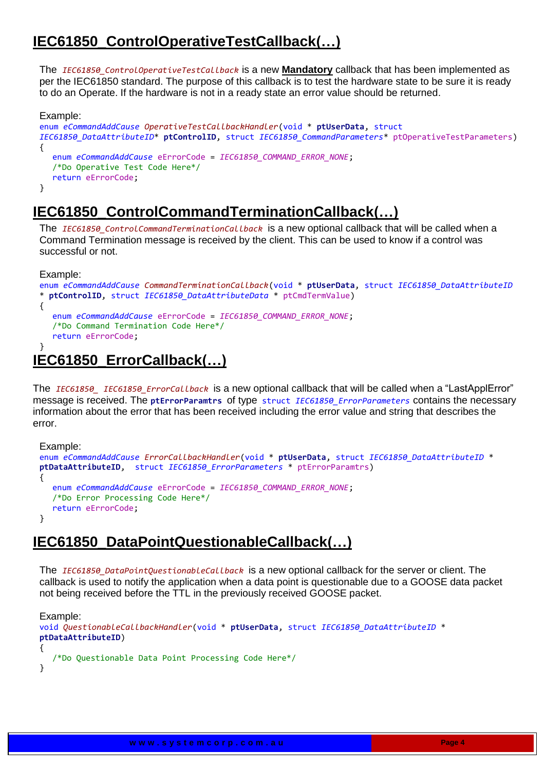# **IEC61850\_ControlOperativeTestCallback(…)**

The *IEC61850\_ControlOperativeTestCallback* is a new **Mandatory** callback that has been implemented as per the IEC61850 standard. The purpose of this callback is to test the hardware state to be sure it is ready to do an Operate. If the hardware is not in a ready state an error value should be returned.

#### Example: enum *eCommandAddCause OperativeTestCallbackHandler*(void \* **ptUserData**, struct *IEC61850\_DataAttributeID*\* **ptControlID**, struct *IEC61850\_CommandParameters*\* ptOperativeTestParameters) { enum *eCommandAddCause* eErrorCode = *IEC61850\_COMMAND\_ERROR\_NONE*; /\*Do Operative Test Code Here\*/ return eErrorCode; }

# **IEC61850\_ControlCommandTerminationCallback(…)**

The *IEC61850\_ControlCommandTerminationCallback* is a new optional callback that will be called when a Command Termination message is received by the client. This can be used to know if a control was successful or not.

Example:

```
enum eCommandAddCause CommandTerminationCallback(void * ptUserData, struct IEC61850_DataAttributeID
 * ptControlID, struct IEC61850_DataAttributeData * ptCmdTermValue)
{
  enum eCommandAddCause eErrorCode = IEC61850_COMMAND_ERROR_NONE;
  /*Do Command Termination Code Here*/
  return eErrorCode;
}
```
# **IEC61850\_ErrorCallback(…)**

The *IEC61850\_ IEC61850\_ErrorCallback* is a new optional callback that will be called when a "LastApplError" message is received. The **ptErrorParamtrs** of type struct *IEC61850\_ErrorParameters* contains the necessary information about the error that has been received including the error value and string that describes the error.

```
Example:
enum eCommandAddCause ErrorCallbackHandler(void * ptUserData, struct IEC61850_DataAttributeID * 
ptDataAttributeID, struct IEC61850_ErrorParameters * ptErrorParamtrs)
{
  enum eCommandAddCause eErrorCode = IEC61850_COMMAND_ERROR_NONE;
  /*Do Error Processing Code Here*/
  return eErrorCode;
}
```
# **IEC61850\_DataPointQuestionableCallback(…)**

The *IEC61850\_DataPointQuestionableCallback* is a new optional callback for the server or client. The callback is used to notify the application when a data point is questionable due to a GOOSE data packet not being received before the TTL in the previously received GOOSE packet.

```
Example:
void QuestionableCallbackHandler(void * ptUserData, struct IEC61850_DataAttributeID * 
ptDataAttributeID)
{
  /*Do Questionable Data Point Processing Code Here*/
}
```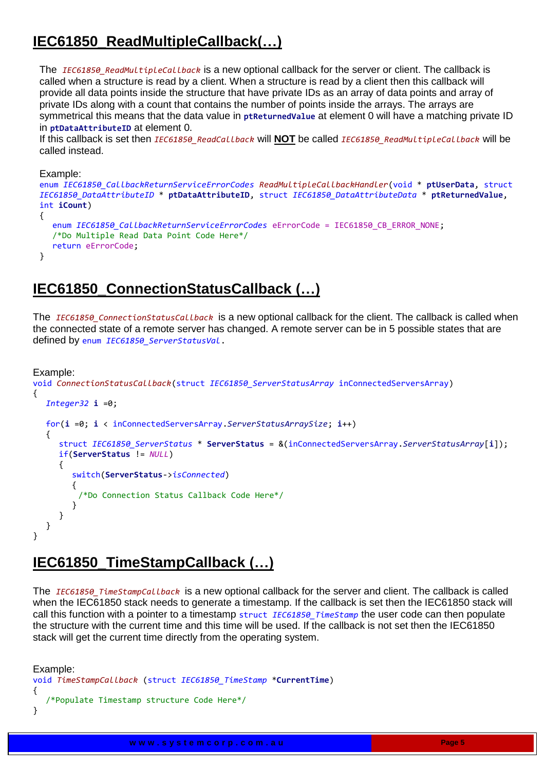# **IEC61850\_ReadMultipleCallback(…)**

The *IEC61850\_ReadMultipleCallback* is a new optional callback for the server or client. The callback is called when a structure is read by a client. When a structure is read by a client then this callback will provide all data points inside the structure that have private IDs as an array of data points and array of private IDs along with a count that contains the number of points inside the arrays. The arrays are symmetrical this means that the data value in **ptReturnedValue** at element 0 will have a matching private ID in **ptDataAttributeID** at element 0.

If this callback is set then *IEC61850\_ReadCallback* will **NOT** be called *IEC61850\_ReadMultipleCallback* will be called instead.

Example:

```
enum IEC61850_CallbackReturnServiceErrorCodes ReadMultipleCallbackHandler(void * ptUserData, struct
IEC61850_DataAttributeID * ptDataAttributeID, struct IEC61850_DataAttributeData * ptReturnedValue, 
int iCount)
{
   enum IEC61850_CallbackReturnServiceErrorCodes eErrorCode = IEC61850_CB_ERROR_NONE;
   /*Do Multiple Read Data Point Code Here*/
  return eErrorCode;
}
```
# **IEC61850\_ConnectionStatusCallback (…)**

The *IEC61850\_ConnectionStatusCallback* is a new optional callback for the client. The callback is called when the connected state of a remote server has changed. A remote server can be in 5 possible states that are defined by enum *IEC61850\_ServerStatusVal*.

```
Example:
```

```
void ConnectionStatusCallback(struct IEC61850_ServerStatusArray inConnectedServersArray)
{
  Integer32 i =0;
  for(i =0; i < inConnectedServersArray.ServerStatusArraySize; i++)
  {
     struct IEC61850_ServerStatus * ServerStatus = &(inConnectedServersArray.ServerStatusArray[i]);
     if(ServerStatus != NULL)
     {
        switch(ServerStatus->isConnected)
        {
         /*Do Connection Status Callback Code Here*/
        }
     }
  }
}
```
### **IEC61850\_TimeStampCallback (…)**

The *IEC61850* TimeStampCallback is a new optional callback for the server and client. The callback is called when the IEC61850 stack needs to generate a timestamp. If the callback is set then the IEC61850 stack will call this function with a pointer to a timestamp struct *IEC61850 TimeStamp* the user code can then populate the structure with the current time and this time will be used. If the callback is not set then the IEC61850 stack will get the current time directly from the operating system.

```
Example:
void TimeStampCallback (struct IEC61850_TimeStamp *CurrentTime)
{
   /*Populate Timestamp structure Code Here*/
}
```